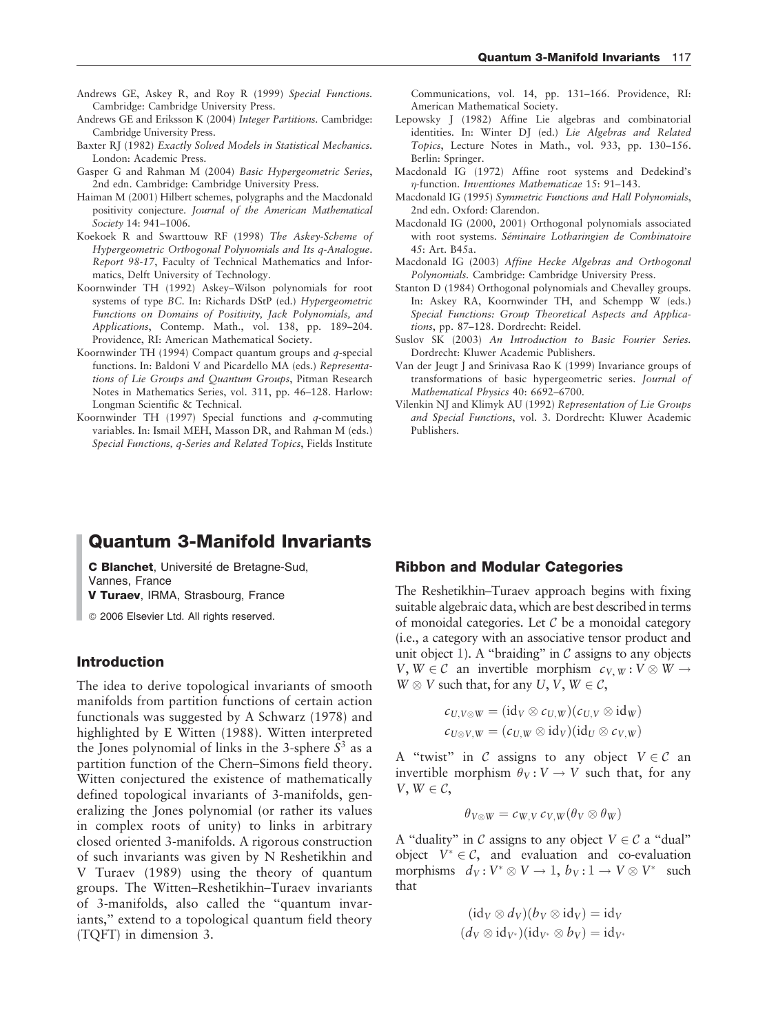- Andrews GE, Askey R, and Roy R (1999) Special Functions. Cambridge: Cambridge University Press.
- Andrews GE and Eriksson K (2004) Integer Partitions. Cambridge: Cambridge University Press.
- Baxter RJ (1982) Exactly Solved Models in Statistical Mechanics. London: Academic Press.
- Gasper G and Rahman M (2004) Basic Hypergeometric Series, 2nd edn. Cambridge: Cambridge University Press.
- Haiman M (2001) Hilbert schemes, polygraphs and the Macdonald positivity conjecture. Journal of the American Mathematical Society 14: 941–1006.
- Koekoek R and Swarttouw RF (1998) The Askey-Scheme of Hypergeometric Orthogonal Polynomials and Its q-Analogue. Report 98-17, Faculty of Technical Mathematics and Informatics, Delft University of Technology.
- Koornwinder TH (1992) Askey–Wilson polynomials for root systems of type BC. In: Richards DStP (ed.) Hypergeometric Functions on Domains of Positivity, Jack Polynomials, and Applications, Contemp. Math., vol. 138, pp. 189–204. Providence, RI: American Mathematical Society.
- Koornwinder TH (1994) Compact quantum groups and  $q$ -special functions. In: Baldoni V and Picardello MA (eds.) Representations of Lie Groups and Quantum Groups, Pitman Research Notes in Mathematics Series, vol. 311, pp. 46–128. Harlow: Longman Scientific & Technical.
- Koornwinder TH  $(1997)$  Special functions and q-commuting variables. In: Ismail MEH, Masson DR, and Rahman M (eds.) Special Functions, q-Series and Related Topics, Fields Institute

Communications, vol. 14, pp. 131–166. Providence, RI: American Mathematical Society.

- Lepowsky J (1982) Affine Lie algebras and combinatorial identities. In: Winter DJ (ed.) Lie Algebras and Related Topics, Lecture Notes in Math., vol. 933, pp. 130–156. Berlin: Springer.
- Macdonald IG (1972) Affine root systems and Dedekind's --function. Inventiones Mathematicae 15: 91–143.
- Macdonald IG (1995) Symmetric Functions and Hall Polynomials, 2nd edn. Oxford: Clarendon.
- Macdonald IG (2000, 2001) Orthogonal polynomials associated with root systems. Séminaire Lotharingien de Combinatoire 45: Art. B45a.
- Macdonald IG (2003) Affine Hecke Algebras and Orthogonal Polynomials. Cambridge: Cambridge University Press.
- Stanton D (1984) Orthogonal polynomials and Chevalley groups. In: Askey RA, Koornwinder TH, and Schempp W (eds.) Special Functions: Group Theoretical Aspects and Applications, pp. 87–128. Dordrecht: Reidel.
- Suslov SK (2003) An Introduction to Basic Fourier Series. Dordrecht: Kluwer Academic Publishers.
- Van der Jeugt J and Srinivasa Rao K (1999) Invariance groups of transformations of basic hypergeometric series. Journal of Mathematical Physics 40: 6692–6700.
- Vilenkin NJ and Klimyk AU (1992) Representation of Lie Groups and Special Functions, vol. 3. Dordrecht: Kluwer Academic Publishers.

# Quantum 3-Manifold Invariants

C Blanchet, Université de Bretagne-Sud, Vannes, France

V Turaev, IRMA, Strasbourg, France

<sup>©</sup> 2006 Elsevier Ltd. All rights reserved.

#### Introduction

The idea to derive topological invariants of smooth manifolds from partition functions of certain action functionals was suggested by A Schwarz (1978) and highlighted by E Witten (1988). Witten interpreted the Jones polynomial of links in the 3-sphere  $S<sup>3</sup>$  as a partition function of the Chern–Simons field theory. Witten conjectured the existence of mathematically defined topological invariants of 3-manifolds, generalizing the Jones polynomial (or rather its values in complex roots of unity) to links in arbitrary closed oriented 3-manifolds. A rigorous construction of such invariants was given by N Reshetikhin and V Turaev (1989) using the theory of quantum groups. The Witten–Reshetikhin–Turaev invariants of 3-manifolds, also called the ''quantum invariants," extend to a topological quantum field theory (TQFT) in dimension 3.

#### Ribbon and Modular Categories

The Reshetikhin–Turaev approach begins with fixing suitable algebraic data, which are best described in terms of monoidal categories. Let  $\mathcal C$  be a monoidal category (i.e., a category with an associative tensor product and unit object  $\mathbb{1}$ ). A "braiding" in C assigns to any objects  $V, W \in \mathcal{C}$  an invertible morphism  $c_{V, W}: V \otimes W \rightarrow$  $W \otimes V$  such that, for any  $U, V, W \in \mathcal{C}$ ,

$$
c_{U,V\otimes W}=(\mathrm{id}_V\otimes c_{U,W})(c_{U,V}\otimes \mathrm{id}_W)
$$
  

$$
c_{U\otimes V,W}=(c_{U,W}\otimes \mathrm{id}_V)(\mathrm{id}_U\otimes c_{V,W})
$$

A "twist" in C assigns to any object  $V \in \mathcal{C}$  an invertible morphism  $\theta_V : V \to V$  such that, for any  $V, W \in \mathcal{C}$ 

$$
\theta_{V\otimes W} = c_{W,V} c_{V,W}(\theta_V \otimes \theta_W)
$$

A "duality" in C assigns to any object  $V \in \mathcal{C}$  a "dual" object  $V^* \in \mathcal{C}$ , and evaluation and co-evaluation morphisms  $d_V: V^* \otimes V \to \mathbb{1}, b_V: \mathbb{1} \to V \otimes V^*$  such that

$$
(\mathrm{id}_V \otimes d_V)(b_V \otimes \mathrm{id}_V) = \mathrm{id}_V
$$
  

$$
(d_V \otimes \mathrm{id}_{V^*})(\mathrm{id}_{V^*} \otimes b_V) = \mathrm{id}_{V^*}
$$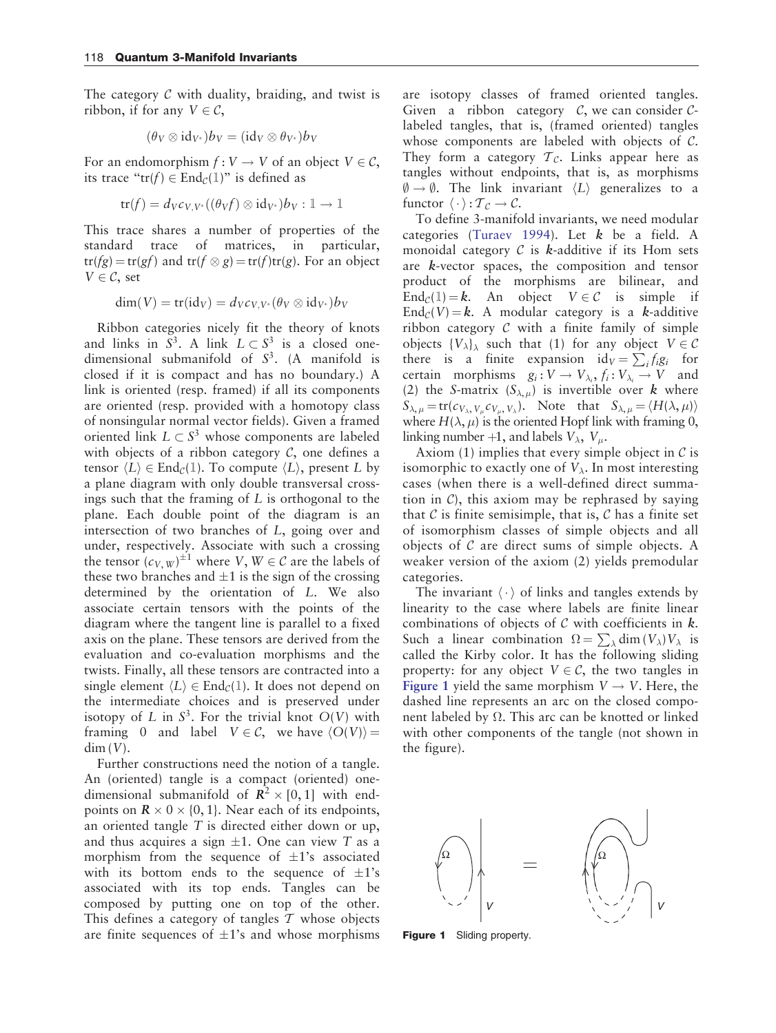<span id="page-1-0"></span>The category  $C$  with duality, braiding, and twist is ribbon, if for any  $V \in \mathcal{C}$ ,

$$
(\theta_V \otimes \mathrm{id}_{V^*})b_V = (\mathrm{id}_V \otimes \theta_{V^*})b_V
$$

For an endomorphism  $f: V \to V$  of an object  $V \in \mathcal{C}$ , its trace " $tr(f) \in End_{\mathcal{C}}(1)$ " is defined as

$$
\operatorname{tr}(f) = d_V c_{V,V^*}((\theta_V f) \otimes \operatorname{id}_{V^*}) b_V : \mathbb{1} \to \mathbb{1}
$$

This trace shares a number of properties of the standard trace of matrices, in particular,  $tr(fg) = tr(gf)$  and  $tr(f \otimes g) = tr(f)tr(g)$ . For an object  $V \in \mathcal{C}$ , set

$$
\dim(V) = \text{tr}(\text{id}_V) = d_V c_{V,V^*}(\theta_V \otimes \text{id}_{V^*}) b_V
$$

Ribbon categories nicely fit the theory of knots and links in  $S^3$ . A link  $L \subset S^3$  is a closed onedimensional submanifold of  $S<sup>3</sup>$ . (A manifold is closed if it is compact and has no boundary.) A link is oriented (resp. framed) if all its components are oriented (resp. provided with a homotopy class of nonsingular normal vector fields). Given a framed oriented link  $L \subset S^3$  whose components are labeled with objects of a ribbon category  $C$ , one defines a tensor  $\langle L \rangle \in \text{End}_{\mathcal{C}}(1)$ . To compute  $\langle L \rangle$ , present L by a plane diagram with only double transversal crossings such that the framing of  $L$  is orthogonal to the plane. Each double point of the diagram is an intersection of two branches of L, going over and under, respectively. Associate with such a crossing the tensor  $(c_{V,\,W})^{\pm 1}$  where  $V,\,W\in\mathcal{C}$  are the labels of these two branches and  $\pm 1$  is the sign of the crossing determined by the orientation of L. We also associate certain tensors with the points of the diagram where the tangent line is parallel to a fixed axis on the plane. These tensors are derived from the evaluation and co-evaluation morphisms and the twists. Finally, all these tensors are contracted into a single element  $\langle L \rangle \in \text{End}_{\mathcal{C}}(1)$ . It does not depend on the intermediate choices and is preserved under isotopy of L in  $S^3$ . For the trivial knot  $O(V)$  with framing 0 and label  $V \in \mathcal{C}$ , we have  $\langle O(V) \rangle =$  $dim (V)$ .

Further constructions need the notion of a tangle. An (oriented) tangle is a compact (oriented) onedimensional submanifold of  $\mathbb{R}^2 \times [0, 1]$  with endpoints on  $\mathbb{R} \times 0 \times \{0, 1\}$ . Near each of its endpoints, an oriented tangle T is directed either down or up, and thus acquires a sign  $\pm 1$ . One can view T as a morphism from the sequence of  $\pm 1$ 's associated with its bottom ends to the sequence of  $\pm 1$ 's associated with its top ends. Tangles can be composed by putting one on top of the other. This defines a category of tangles  $T$  whose objects are finite sequences of  $\pm 1$ 's and whose morphisms are isotopy classes of framed oriented tangles. Given a ribbon category  $C$ , we can consider  $C$ labeled tangles, that is, (framed oriented) tangles whose components are labeled with objects of C. They form a category  $\mathcal{T}_{\mathcal{C}}$ . Links appear here as tangles without endpoints, that is, as morphisms  $\emptyset \rightarrow \emptyset$ . The link invariant  $\langle L \rangle$  generalizes to a functor  $\langle \cdot \rangle : T_{\mathcal{C}} \to \mathcal{C}$ .

To define 3-manifold invariants, we need modular categories [\(Turaev 1994\)](#page-5-0). Let  $k$  be a field. A monoidal category  $C$  is *k*-additive if its Hom sets are k-vector spaces, the composition and tensor product of the morphisms are bilinear, and End<sub>C</sub>(1) = **k**. An object  $V \in \mathcal{C}$  is simple if  $\text{End}_{\mathcal{C}}(V) = \mathbf{k}$ . A modular category is a k-additive ribbon category  $C$  with a finite family of simple objects  $\{V_{\lambda}\}_\lambda$  such that (1) for any object  $V \in \mathcal{C}$ there is a finite expansion  $id_V = \sum_i f_i g_i$  for certain morphisms  $g_i: V \to V_{\lambda_i}, f_i: V_{\lambda_i} \to V$  and (2) the S-matrix  $(S_{\lambda,\mu})$  is invertible over k where  $S_{\lambda,\mu} = \text{tr}(c_{V_{\lambda}, V_{\mu}} c_{V_{\mu}, V_{\lambda}})$ . Note that  $S_{\lambda,\mu} = \langle H(\lambda, \mu) \rangle$ where  $H(\lambda, \mu)$  is the oriented Hopf link with framing 0, linking number +1, and labels  $V_{\lambda}$ ,  $V_{\mu}$ .

Axiom (1) implies that every simple object in  $\mathcal C$  is isomorphic to exactly one of  $V_{\lambda}$ . In most interesting cases (when there is a well-defined direct summation in  $C$ ), this axiom may be rephrased by saying that  $\mathcal C$  is finite semisimple, that is,  $\mathcal C$  has a finite set of isomorphism classes of simple objects and all objects of  $C$  are direct sums of simple objects. A weaker version of the axiom (2) yields premodular categories.

The invariant  $\langle \cdot \rangle$  of links and tangles extends by linearity to the case where labels are finite linear combinations of objects of  $C$  with coefficients in  $k$ . Such a linear combination  $\Omega = \sum_{\lambda} \dim (V_{\lambda}) V_{\lambda}$  is called the Kirby color. It has the following sliding property: for any object  $V \in \mathcal{C}$ , the two tangles in Figure 1 yield the same morphism  $V \rightarrow V$ . Here, the dashed line represents an arc on the closed component labeled by  $\Omega$ . This arc can be knotted or linked with other components of the tangle (not shown in the figure).



Figure 1 Sliding property.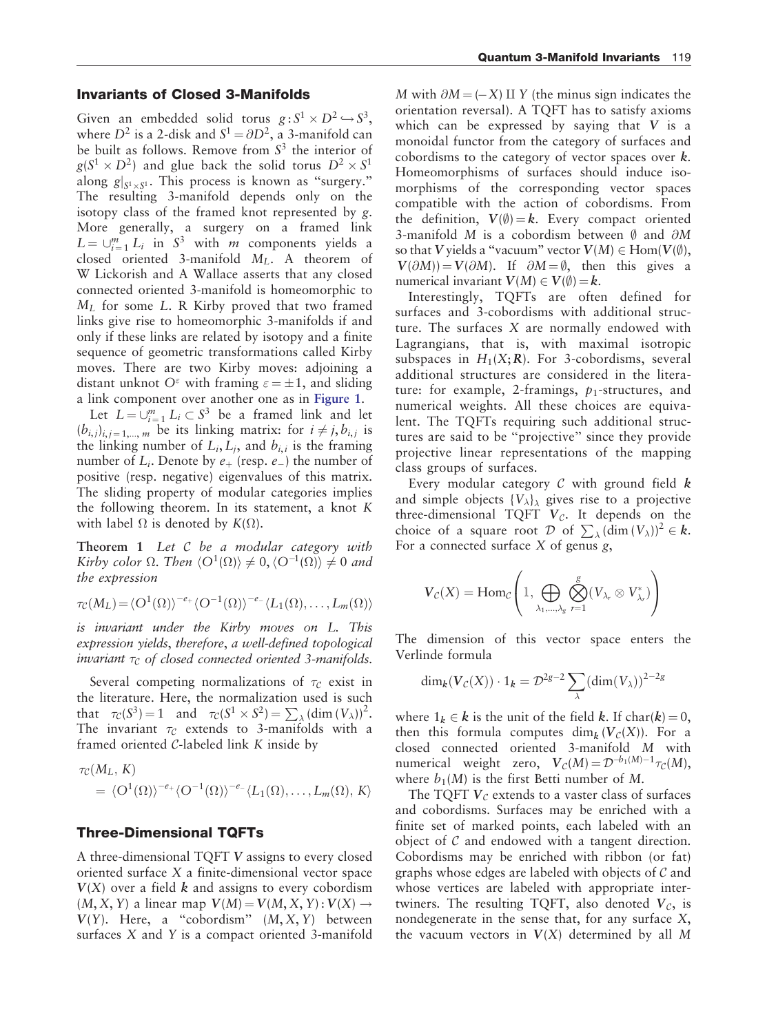## Invariants of Closed 3-Manifolds

Given an embedded solid torus  $g: S^1 \times D^2 \hookrightarrow S^3$ , where  $D^2$  is a 2-disk and  $S^1 = \partial D^2$ , a 3-manifold can be built as follows. Remove from  $S<sup>3</sup>$  the interior of  $g(S^1 \times D^2)$  and glue back the solid torus  $D^2 \times S^1$ along  $g|_{S^1 \times S^1}$ . This process is known as "surgery." The resulting 3-manifold depends only on the isotopy class of the framed knot represented by g. More generally, a surgery on a framed link  $L = \bigcup_{i=1}^{m} L_i$  in  $S^3$  with *m* components yields a closed oriented 3-manifold  $M_L$ . A theorem of W Lickorish and A Wallace asserts that any closed connected oriented 3-manifold is homeomorphic to  $M_L$  for some L. R Kirby proved that two framed links give rise to homeomorphic 3-manifolds if and only if these links are related by isotopy and a finite sequence of geometric transformations called Kirby moves. There are two Kirby moves: adjoining a distant unknot  $O^{\varepsilon}$  with framing  $\varepsilon = \pm 1$ , and sliding a link component over another one as in [Figure 1](#page-1-0).

Let  $L = \bigcup_{i=1}^{m} L_i \subset S^3$  be a framed link and let  $(b_{i,j})_{i,j=1,\dots,m}$  be its linking matrix: for  $i \neq j$ ,  $b_{i,j}$  is the linking number of  $L_i, L_j$ , and  $b_{i,i}$  is the framing number of  $L_i$ . Denote by  $e_+$  (resp.  $e_-$ ) the number of positive (resp. negative) eigenvalues of this matrix. The sliding property of modular categories implies the following theorem. In its statement, a knot K with label  $\Omega$  is denoted by  $K(\Omega)$ .

Theorem 1 Let C be a modular category with Kirby color  $\Omega$ . Then  $\langle O^1(\Omega) \rangle \neq 0, \langle O^{-1}(\Omega) \rangle \neq 0$  and the expression

$$
\tau_{\mathcal{C}}(M_L) = \langle O^1(\Omega) \rangle^{-e_+} \langle O^{-1}(\Omega) \rangle^{-e_-} \langle L_1(\Omega), \dots, L_m(\Omega) \rangle
$$

is invariant under the Kirby moves on L. This expression yields, therefore, a well-defined topological invariant  $\tau_c$  of closed connected oriented 3-manifolds.

Several competing normalizations of  $\tau_c$  exist in the literature. Here, the normalization used is such that  $\tau_c(S^3) = 1$  and  $\tau_c(S^1 \times S^2) = \sum_{\lambda} (\dim (V_{\lambda}))^2$ . The invariant  $\tau_c$  extends to 3-manifolds with a framed oriented C-labeled link K inside by

$$
\tau_{\mathcal{C}}(M_L, K) = \langle O^1(\Omega) \rangle^{-e_+} \langle O^{-1}(\Omega) \rangle^{-e_-} \langle L_1(\Omega), \dots, L_m(\Omega), K \rangle
$$

#### Three-Dimensional TQFTs

A three-dimensional TQFT V assigns to every closed oriented surface X a finite-dimensional vector space  $V(X)$  over a field k and assigns to every cobordism  $(M, X, Y)$  a linear map  $V(M) = V(M, X, Y) : V(X) \rightarrow$  $V(Y)$ . Here, a "cobordism"  $(M, X, Y)$  between surfaces X and Y is a compact oriented 3-manifold

M with  $\partial M = (-X) \amalg Y$  (the minus sign indicates the orientation reversal). A TQFT has to satisfy axioms which can be expressed by saying that  $V$  is a monoidal functor from the category of surfaces and cobordisms to the category of vector spaces over  $k$ . Homeomorphisms of surfaces should induce isomorphisms of the corresponding vector spaces compatible with the action of cobordisms. From the definition,  $V(\emptyset) = k$ . Every compact oriented 3-manifold M is a cobordism between  $\emptyset$  and  $\partial M$ so that V yields a "vacuum" vector  $V(M) \in Hom(V(\emptyset))$ ,  $V(\partial M) = V(\partial M)$ . If  $\partial M = \emptyset$ , then this gives a numerical invariant  $V(M) \in V(\emptyset) = k$ .

Interestingly, TQFTs are often defined for surfaces and 3-cobordisms with additional structure. The surfaces X are normally endowed with Lagrangians, that is, with maximal isotropic subspaces in  $H_1(X; R)$ . For 3-cobordisms, several additional structures are considered in the literature: for example, 2-framings,  $p_1$ -structures, and numerical weights. All these choices are equivalent. The TQFTs requiring such additional structures are said to be ''projective'' since they provide projective linear representations of the mapping class groups of surfaces.

Every modular category  $C$  with ground field  $k$ and simple objects  $\{V_{\lambda}\}_\lambda$  gives rise to a projective three-dimensional TQFT  $V_c$ . It depends on the choice of a square root D of  $\sum_{\lambda}$  (dim  $(V_{\lambda}))^2 \in k$ . For a connected surface  $X$  of genus  $g$ ,

$$
\boldsymbol{V}_{\mathcal{C}}(\boldsymbol{X}) = \operatorname{Hom}_{\mathcal{C}}\left(1, \bigoplus_{\lambda_1, \dots, \lambda_g} \bigotimes_{r=1}^g (\boldsymbol{V}_{\lambda_r} \otimes \boldsymbol{V}_{\lambda_r}^*)\right)
$$

The dimension of this vector space enters the Verlinde formula

$$
\dim_k(\mathbf{V}_\mathcal{C}(X)) \cdot 1_k = \mathcal{D}^{2g-2} \sum_{\lambda} (\dim(V_\lambda))^{2-2g}
$$

where  $1_k \in k$  is the unit of the field k. If char(k) = 0, then this formula computes dim<sub>k</sub>  $(V_c(X))$ . For a closed connected oriented 3-manifold M with numerical weight zero,  $V_c(M) = \mathcal{D}^{-b_1(M)-1}\tau_c(M)$ , where  $b_1(M)$  is the first Betti number of M.

The TQFT  $V_c$  extends to a vaster class of surfaces and cobordisms. Surfaces may be enriched with a finite set of marked points, each labeled with an object of  $C$  and endowed with a tangent direction. Cobordisms may be enriched with ribbon (or fat) graphs whose edges are labeled with objects of  $\mathcal C$  and whose vertices are labeled with appropriate intertwiners. The resulting TQFT, also denoted  $V_c$ , is nondegenerate in the sense that, for any surface X, the vacuum vectors in  $V(X)$  determined by all M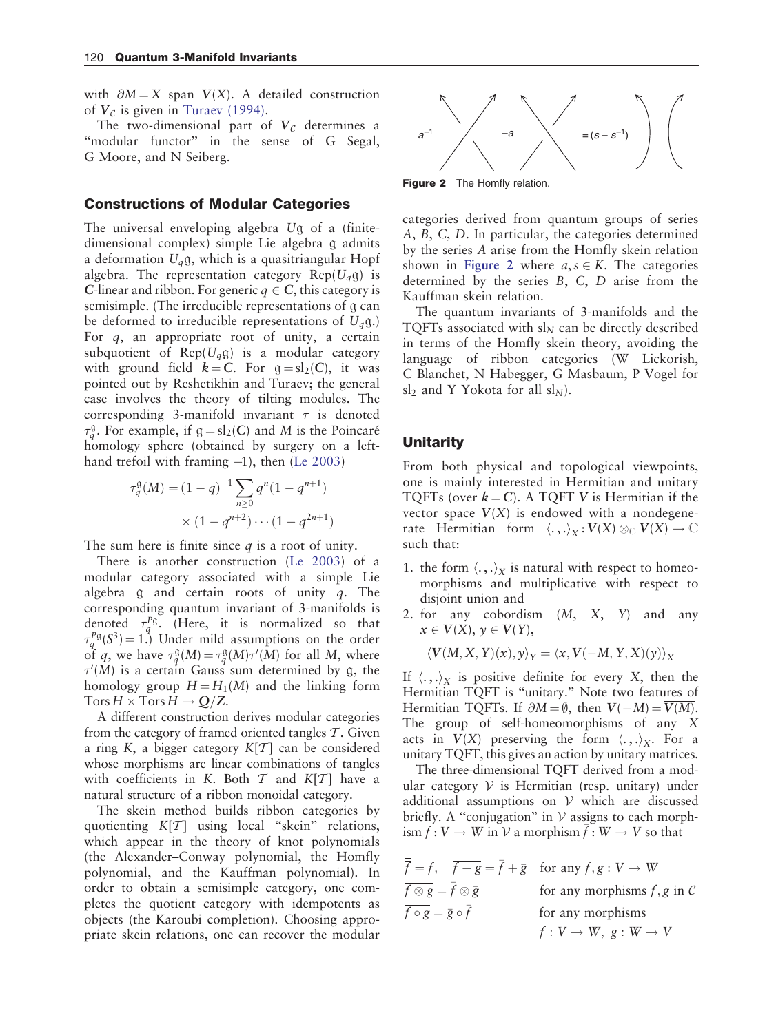with  $\partial M = X$  span  $V(X)$ . A detailed construction of  $V_c$  is given in [Turaev \(1994\)](#page-5-0).

The two-dimensional part of  $V_c$  determines a "modular functor" in the sense of G Segal, G Moore, and N Seiberg.

## Constructions of Modular Categories

The universal enveloping algebra Ug of a (finitedimensional complex) simple Lie algebra g admits a deformation  $U_q$ g, which is a quasitriangular Hopf algebra. The representation category  $\text{Rep}(U_a \mathfrak{g})$  is C-linear and ribbon. For generic  $q \in C$ , this category is semisimple. (The irreducible representations of g can be deformed to irreducible representations of  $U_q$ g.) For q, an appropriate root of unity, a certain subquotient of  $\text{Rep}(U_a \mathfrak{g})$  is a modular category with ground field  $k = C$ . For  $g = sl_2(C)$ , it was pointed out by Reshetikhin and Turaev; the general case involves the theory of tilting modules. The corresponding 3-manifold invariant  $\tau$  is denoted  $\tau_q^{\mathfrak{g}}$ . For example, if  $\mathfrak{g} = sl_2(C)$  and M is the Poincaré homology sphere (obtained by surgery on a leftha[n](#page-5-0)d trefoil with framing  $-1$ ), then [\(Le 2003\)](#page-5-0)

$$
\tau_q^{\mathfrak{g}}(M) = (1 - q)^{-1} \sum_{n \ge 0} q^n (1 - q^{n+1})
$$
  
 
$$
\times (1 - q^{n+2}) \cdots (1 - q^{2n+1})
$$

The sum here is finite since  $q$  is a root of unity.

There is another constructio[n](#page-5-0) [\(Le 2003\)](#page-5-0) of a modular category associated with a simple Lie algebra  $g$  and certain roots of unity  $q$ . The corresponding quantum invariant of 3-manifolds is denoted  $\tau_q^{P\mathfrak{g}}$ . (Here, it is normalized so that  $\tau_q^{PQ}(S^3) = 1.$ ) Under mild assumptions on the order of q, we have  $\tau_q^{\mathfrak{g}}(M) = \tau_q^{\mathfrak{g}}(M) \tau'(M)$  for all M, where  $\tau'(M)$  is a certain Gauss sum determined by g, the homology group  $H = H_1(M)$  and the linking form  $Tors H \times Tors H \rightarrow Q/Z.$ 

A different construction derives modular categories from the category of framed oriented tangles  $\mathcal T$ . Given a ring K, a bigger category  $K[T]$  can be considered whose morphisms are linear combinations of tangles with coefficients in K. Both  $T$  and  $K[T]$  have a natural structure of a ribbon monoidal category.

The skein method builds ribbon categories by quotienting  $K[T]$  using local "skein" relations, which appear in the theory of knot polynomials (the Alexander–Conway polynomial, the Homfly polynomial, and the Kauffman polynomial). In order to obtain a semisimple category, one completes the quotient category with idempotents as objects (the Karoubi completion). Choosing appropriate skein relations, one can recover the modular



Figure 2 The Homfly relation.

categories derived from quantum groups of series A, B, C, D. In particular, the categories determined by the series A arise from the Homfly skein relation shown in Figure 2 where  $a, s \in K$ . The categories determined by the series B, C, D arise from the Kauffman skein relation.

The quantum invariants of 3-manifolds and the TQFTs associated with  $sl<sub>N</sub>$  can be directly described in terms of the Homfly skein theory, avoiding the language of ribbon categories (W Lickorish, C Blanchet, N Habegger, G Masbaum, P Vogel for sl<sub>2</sub> and Y Yokota for all sl<sub>N</sub>).

## **Unitarity**

From both physical and topological viewpoints, one is mainly interested in Hermitian and unitary TQFTs (over  $k = C$ ). A TQFT V is Hermitian if the vector space  $V(X)$  is endowed with a nondegenerate Hermitian form  $\langle .,.\rangle_X : V(X) \otimes_{\mathbb{C}} V(X) \to \mathbb{C}$ such that:

- 1. the form  $\langle .,.\rangle_X$  is natural with respect to homeomorphisms and multiplicative with respect to disjoint union and
- 2. for any cobordism  $(M, X, Y)$  and any  $x \in V(X), y \in V(Y),$

$$
\langle V(M, X, Y)(x), y \rangle_Y = \langle x, V(-M, Y, X)(y) \rangle_X
$$

If  $\langle .,.\rangle_X$  is positive definite for every X, then the Hermitian TQFT is "unitary." Note two features of Hermitian TQFTs. If  $\partial M = \emptyset$ , then  $V(-M) = V(M)$ . The group of self-homeomorphisms of any X acts in  $V(X)$  preserving the form  $\langle .,.\rangle_X$ . For a unitary TQFT, this gives an action by unitary matrices.

The three-dimensional TQFT derived from a modular category  $V$  is Hermitian (resp. unitary) under additional assumptions on  $V$  which are discussed briefly. A "conjugation" in  $V$  assigns to each morph- $\lim f: V \to W$  in V a morphism  $f:W \to V$  so that

$$
\overline{\overline{f}} = f, \quad \overline{f + g} = \overline{f} + \overline{g} \quad \text{for any } f, g: V \to W
$$
  

$$
\overline{f \otimes g} = \overline{f} \otimes \overline{g} \qquad \text{for any morphisms } f, g \text{ in } C
$$
  

$$
\overline{f \circ g} = \overline{g} \circ \overline{f} \qquad \text{for any morphisms}
$$
  

$$
f: V \to W, g: W \to V
$$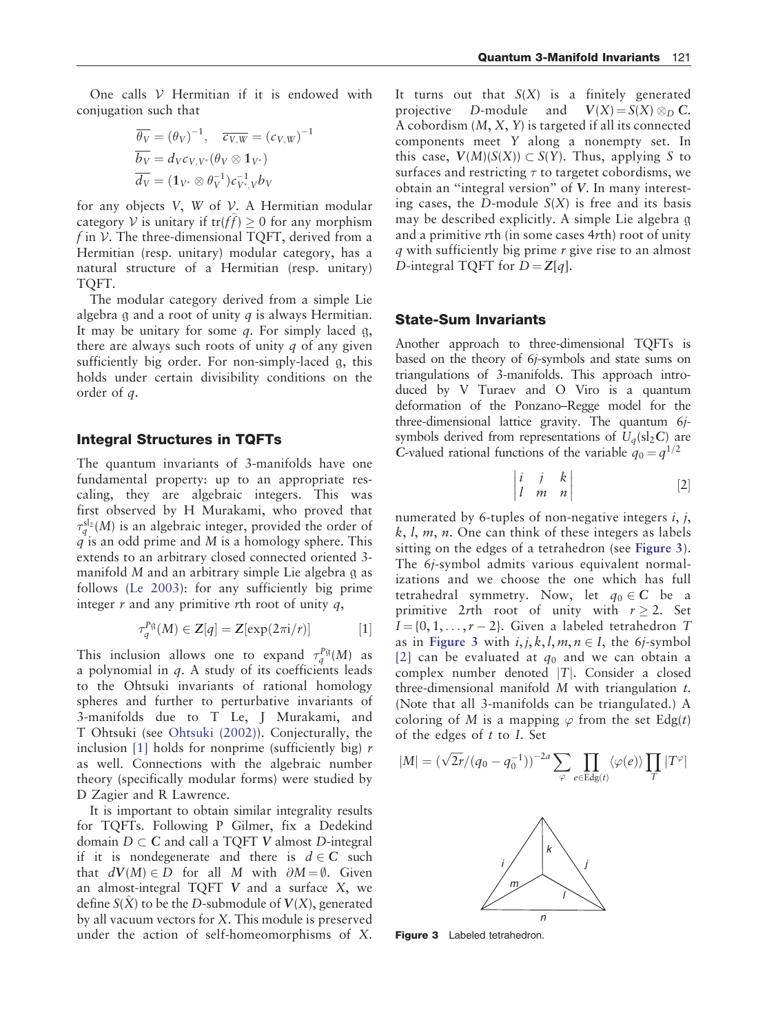One calls  $V$  Hermitian if it is endowed with conjugation such that

$$
\overline{\theta_V} = (\theta_V)^{-1}, \quad \overline{c_{V,W}} = (c_{V,W})^{-1}
$$

$$
\overline{b_V} = d_V c_{V,V^*} (\theta_V \otimes 1_{V^*})
$$

$$
\overline{d_V} = (1_{V^*} \otimes \theta_V^{-1}) c_{V^*,V}^{-1} b_V
$$

for any objects  $V$ ,  $W$  of  $V$ . A Hermitian modular category V is unitary if  $tr(f) \geq 0$  for any morphism f in  $V$ . The three-dimensional TQFT, derived from a Hermitian (resp. unitary) modular category, has a natural structure of a Hermitian (resp. unitary) TQFT.

The modular category derived from a simple Lie algebra  $\alpha$  and a root of unity  $q$  is always Hermitian. It may be unitary for some  $q$ . For simply laced  $q$ , there are always such roots of unity  $q$  of any given sufficiently big order. For non-simply-laced g, this holds under certain divisibility conditions on the order of q.

## Integral Structures in TQFTs

The quantum invariants of 3-manifolds have one fundamental property: up to an appropriate rescaling, they are algebraic integers. This was first observed by H Murakami, who proved that  $\tau_q^{\rm sl_2}(M)$  is an algebraic integer, provided the order of  $\hat{q}$  is an odd prime and M is a homology sphere. This extends to an arbitrary closed connected oriented 3 manifold M and an arbitrary simple Lie algebra g as follow[s](#page-5-0) [\(Le 2003\)](#page-5-0): for any sufficiently big prime integer  $r$  and any primitive rth root of unity  $q$ ,

$$
\tau_q^{P\mathfrak{g}}(M) \in \mathbb{Z}[q] = \mathbb{Z}[\exp(2\pi i/r)] \quad [1]
$$

This inclusion allows one to expand  $\tau_q^{P\mathfrak{g}}(M)$  as a polynomial in  $q$ . A study of its coefficients leads to the Ohtsuki invariants of rational homology spheres and further to perturbative invariants of 3-manifolds due to T Le, J Murakami, and T Ohtsuki (see [Ohtsuki \(2002\)](#page-5-0)). Conjecturally, the inclusion [1] holds for nonprime (sufficiently big)  $r$ as well. Connections with the algebraic number theory (specifically modular forms) were studied by D Zagier and R Lawrence.

It is important to obtain similar integrality results for TQFTs. Following P Gilmer, fix a Dedekind domain  $D \subset C$  and call a TQFT V almost D-integral if it is nondegenerate and there is  $d \in \mathbb{C}$  such that  $dV(M) \in D$  for all M with  $\partial M = \emptyset$ . Given an almost-integral TQFT V and a surface X, we define  $S(X)$  to be the D-submodule of  $V(X)$ , generated by all vacuum vectors for X. This module is preserved under the action of self-homeomorphisms of X.

It turns out that  $S(X)$  is a finitely generated projective D-module and  $V(X) = S(X) \otimes_D C$ . A cobordism  $(M, X, Y)$  is targeted if all its connected components meet Y along a nonempty set. In this case,  $V(M)(S(X)) \subset S(Y)$ . Thus, applying S to surfaces and restricting  $\tau$  to targetet cobordisms, we obtain an ''integral version'' of V. In many interesting cases, the D-module  $S(X)$  is free and its basis may be described explicitly. A simple Lie algebra g and a primitive rth (in some cases 4rth) root of unity  $q$  with sufficiently big prime  $r$  give rise to an almost D-integral TQFT for  $D = Z[q]$ .

#### State-Sum Invariants

Another approach to three-dimensional TQFTs is based on the theory of 6j-symbols and state sums on triangulations of 3-manifolds. This approach introduced by V Turaev and O Viro is a quantum deformation of the Ponzano–Regge model for the three-dimensional lattice gravity. The quantum 6jsymbols derived from representations of  $U_a(\mathrm{sl}_2\mathrm{C})$  are C-valued rational functions of the variable  $q_0 = q^{1/2}$ 

$$
\begin{vmatrix} i & j & k \\ l & m & n \end{vmatrix}
$$
 [2]

numerated by 6-tuples of non-negative integers  $i, j$ ,  $k, l, m, n$ . One can think of these integers as labels sitting on the edges of a tetrahedron (see Figure 3). The 6j-symbol admits various equivalent normalizations and we choose the one which has full tetrahedral symmetry. Now, let  $q_0 \in \mathbb{C}$  be a primitive 2rth root of unity with  $r \geq 2$ . Set  $I = \{0, 1, \ldots, r-2\}$ . Given a labeled tetrahedron T as in Figure 3 with  $i, j, k, l, m, n \in I$ , the 6*j*-symbol [2] can be evaluated at  $q_0$  and we can obtain a complex number denoted  $|T|$ . Consider a closed three-dimensional manifold  $M$  with triangulation  $t$ . (Note that all 3-manifolds can be triangulated.) A coloring of M is a mapping  $\varphi$  from the set Edg(t) of the edges of  $t$  to  $I$ . Set

$$
|M| = (\sqrt{2r}/(q_0 - q_0^{-1}))^{-2a} \sum_{\varphi} \prod_{e \in \text{Edg}(t)} \langle \varphi(e) \rangle \prod_T |T^{\varphi}|
$$



Figure 3 Labeled tetrahedron.